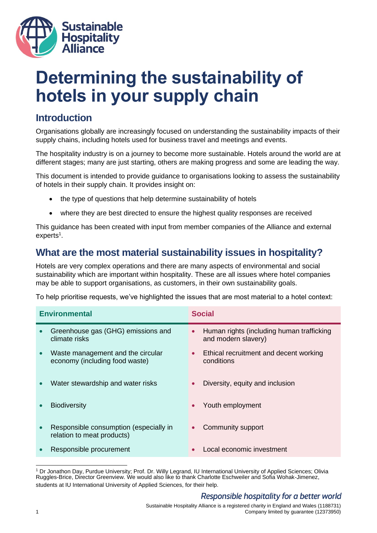

# **Determining the sustainability of hotels in your supply chain**

# **Introduction**

Organisations globally are increasingly focused on understanding the sustainability impacts of their supply chains, including hotels used for business travel and meetings and events.

The hospitality industry is on a journey to become more sustainable. Hotels around the world are at different stages; many are just starting, others are making progress and some are leading the way.

This document is intended to provide guidance to organisations looking to assess the sustainability of hotels in their supply chain. It provides insight on:

- the type of questions that help determine sustainability of hotels
- where they are best directed to ensure the highest quality responses are received

This guidance has been created with input from member companies of the Alliance and external experts<sup>1</sup>.

# **What are the most material sustainability issues in hospitality?**

Hotels are very complex operations and there are many aspects of environmental and social sustainability which are important within hospitality. These are all issues where hotel companies may be able to support organisations, as customers, in their own sustainability goals.

To help prioritise requests, we've highlighted the issues that are most material to a hotel context:

| <b>Environmental</b> |                                                                      | <b>Social</b> |                                                                  |
|----------------------|----------------------------------------------------------------------|---------------|------------------------------------------------------------------|
|                      | Greenhouse gas (GHG) emissions and<br>climate risks                  | $\bullet$     | Human rights (including human trafficking<br>and modern slavery) |
|                      | Waste management and the circular<br>economy (including food waste)  | $\bullet$     | Ethical recruitment and decent working<br>conditions             |
|                      | Water stewardship and water risks                                    | $\bullet$     | Diversity, equity and inclusion                                  |
|                      | <b>Biodiversity</b>                                                  | $\bullet$     | Youth employment                                                 |
|                      | Responsible consumption (especially in<br>relation to meat products) |               | Community support                                                |
|                      | Responsible procurement                                              |               | Local economic investment                                        |
|                      |                                                                      |               |                                                                  |

<sup>1</sup> Dr Jonathon Day, Purdue University; Prof. Dr. Willy Legrand, IU International University of Applied Sciences; Olivia Ruggles-Brice, Director Greenview. We would also like to thank Charlotte Eschweiler and Sofia Wohak-Jimenez, students at IU International University of Applied Sciences, for their help.

## Responsible hospitality for a better world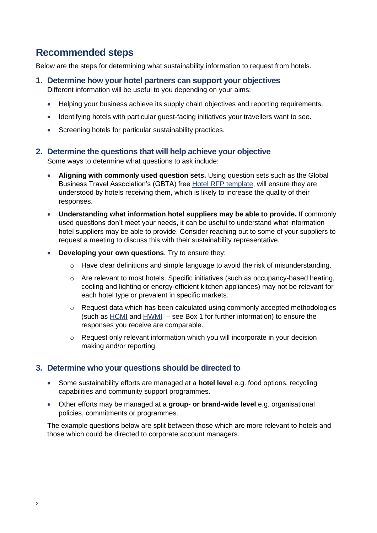# **Recommended steps**

Below are the steps for determining what sustainability information to request from hotels.

**1. Determine how your hotel partners can support your objectives**

Different information will be useful to you depending on your aims:

- Helping your business achieve its supply chain objectives and reporting requirements.
- Identifying hotels with particular guest-facing initiatives your travellers want to see.
- Screening hotels for particular sustainability practices.

#### **2. Determine the questions that will help achieve your objective**

Some ways to determine what questions to ask include:

- **Aligning with commonly used question sets.** Using question sets such as the Global Business Travel Association's (GBTA) free [Hotel RFP template,](https://www3.gbta.org/l/5572/2017-11-28/5clh6q?_ga=2.63302444.2000041246.1623939808-1727348359.1615464624) will ensure they are understood by hotels receiving them, which is likely to increase the quality of their responses.
- **Understanding what information hotel suppliers may be able to provide.** If commonly used questions don't meet your needs, it can be useful to understand what information hotel suppliers may be able to provide. Consider reaching out to some of your suppliers to request a meeting to discuss this with their sustainability representative.
- **Developing your own questions**. Try to ensure they:
	- o Have clear definitions and simple language to avoid the risk of misunderstanding.
	- o Are relevant to most hotels. Specific initiatives (such as occupancy-based heating, cooling and lighting or energy-efficient kitchen appliances) may not be relevant for each hotel type or prevalent in specific markets.
	- o Request data which has been calculated using commonly accepted methodologies (such as [HCMI](https://sustainablehospitalityalliance.org/resource/hotel-carbon-measurement-initiative/) and [HWMI](https://sustainablehospitalityalliance.org/resource/hotel-water-measurement-initiative/) – see Box 1 for further information) to ensure the responses you receive are comparable.
	- o Request only relevant information which you will incorporate in your decision making and/or reporting.

### **3. Determine who your questions should be directed to**

- Some sustainability efforts are managed at a **hotel level** e.g. food options, recycling capabilities and community support programmes.
- Other efforts may be managed at a **group- or brand-wide level** e.g. organisational policies, commitments or programmes.

The example questions below are split between those which are more relevant to hotels and those which could be directed to corporate account managers.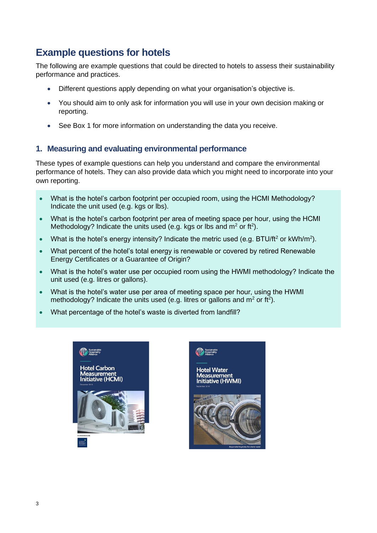# **Example questions for hotels**

The following are example questions that could be directed to hotels to assess their sustainability performance and practices.

- Different questions apply depending on what your organisation's objective is.
- You should aim to only ask for information you will use in your own decision making or reporting.
- See Box 1 for more information on understanding the data you receive.

#### **1. Measuring and evaluating environmental performance**

These types of example questions can help you understand and compare the environmental performance of hotels. They can also provide data which you might need to incorporate into your own reporting.

- What is the hotel's carbon footprint per occupied room, using the HCMI Methodology? Indicate the unit used (e.g. kgs or lbs).
- What is the hotel's carbon footprint per area of meeting space per hour, using the HCMI Methodology? Indicate the units used (e.g. kgs or lbs and  $m^2$  or ft<sup>2</sup>).
- What is the hotel's energy intensity? Indicate the metric used (e.g. BTU/ft<sup>2</sup> or kWh/m<sup>2</sup>).
- What percent of the hotel's total energy is renewable or covered by retired Renewable Energy Certificates or a Guarantee of Origin?
- What is the hotel's water use per occupied room using the HWMI methodology? Indicate the unit used (e.g. litres or gallons).
- What is the hotel's water use per area of meeting space per hour, using the HWMI methodology? Indicate the units used (e.g. litres or gallons and  $m^2$  or ft<sup>2</sup>).
- What percentage of the hotel's waste is diverted from landfill?



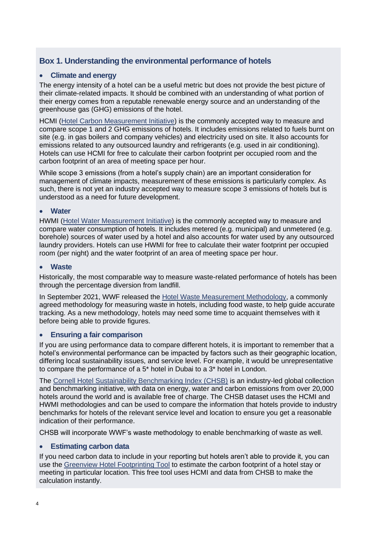## **Box 1. Understanding the environmental performance of hotels**

#### • **Climate and energy**

The energy intensity of a hotel can be a useful metric but does not provide the best picture of their climate-related impacts. It should be combined with an understanding of what portion of their energy comes from a reputable renewable energy source and an understanding of the greenhouse gas (GHG) emissions of the hotel.

HCMI [\(Hotel Carbon Measurement Initiative\)](https://sustainablehospitalityalliance.org/resource/hotel-carbon-measurement-initiative/) is the commonly accepted way to measure and compare scope 1 and 2 GHG emissions of hotels. It includes emissions related to fuels burnt on site (e.g. in gas boilers and company vehicles) and electricity used on site. It also accounts for emissions related to any outsourced laundry and refrigerants (e.g. used in air conditioning). Hotels can use HCMI for free to calculate their carbon footprint per occupied room and the carbon footprint of an area of meeting space per hour.

While scope 3 emissions (from a hotel's supply chain) are an important consideration for management of climate impacts, measurement of these emissions is particularly complex. As such, there is not yet an industry accepted way to measure scope 3 emissions of hotels but is understood as a need for future development.

#### • **Water**

HWMI [\(Hotel Water Measurement Initiative\)](https://sustainablehospitalityalliance.org/resource/hotel-water-measurement-initiative/) is the commonly accepted way to measure and compare water consumption of hotels. It includes metered (e.g. municipal) and unmetered (e.g. borehole) sources of water used by a hotel and also accounts for water used by any outsourced laundry providers. Hotels can use HWMI for free to calculate their water footprint per occupied room (per night) and the water footprint of an area of meeting space per hour.

#### • **Waste**

Historically, the most comparable way to measure waste-related performance of hotels has been through the percentage diversion from landfill.

In September 2021, WWF released the [Hotel Waste Measurement Methodology,](https://sustainablehospitalityalliance.org/resource/hwmm/) a commonly agreed methodology for measuring waste in hotels, including food waste, to help guide accurate tracking. As a new methodology, hotels may need some time to acquaint themselves with it before being able to provide figures.

#### • **Ensuring a fair comparison**

If you are using performance data to compare different hotels, it is important to remember that a hotel's environmental performance can be impacted by factors such as their geographic location, differing local sustainability issues, and service level. For example, it would be unrepresentative to compare the performance of a 5\* hotel in Dubai to a 3\* hotel in London.

The [Cornell Hotel Sustainability Benchmarking Index \(CHSB\)](https://greenview.sg/chsb-index/) is an industry-led global collection and benchmarking initiative, with data on energy, water and carbon emissions from over 20,000 hotels around the world and is available free of charge. The CHSB dataset uses the HCMI and HWMI methodologies and can be used to compare the information that hotels provide to industry benchmarks for hotels of the relevant service level and location to ensure you get a reasonable indication of their performance.

CHSB will incorporate WWF's waste methodology to enable benchmarking of waste as well.

#### • **Estimating carbon data**

If you need carbon data to include in your reporting but hotels aren't able to provide it, you can use the [Greenview Hotel Footprinting Tool](https://www.hotelfootprints.org/footprinting) to estimate the carbon footprint of a hotel stay or meeting in particular location. This free tool uses HCMI and data from CHSB to make the calculation instantly.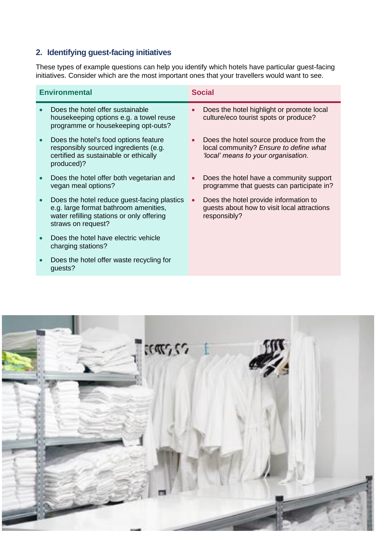## **2. Identifying guest-facing initiatives**

These types of example questions can help you identify which hotels have particular guest-facing initiatives. Consider which are the most important ones that your travellers would want to see.

| <b>Environmental</b> |                                                                                                                                                         |           | <b>Social</b>                                                                                                           |  |
|----------------------|---------------------------------------------------------------------------------------------------------------------------------------------------------|-----------|-------------------------------------------------------------------------------------------------------------------------|--|
|                      | Does the hotel offer sustainable<br>housekeeping options e.g. a towel reuse<br>programme or housekeeping opt-outs?                                      | $\bullet$ | Does the hotel highlight or promote local<br>culture/eco tourist spots or produce?                                      |  |
|                      | Does the hotel's food options feature<br>responsibly sourced ingredients (e.g.<br>certified as sustainable or ethically<br>produced)?                   |           | Does the hotel source produce from the<br>local community? Ensure to define what<br>'local' means to your organisation. |  |
|                      | Does the hotel offer both vegetarian and<br>vegan meal options?                                                                                         | $\bullet$ | Does the hotel have a community support<br>programme that guests can participate in?                                    |  |
|                      | Does the hotel reduce guest-facing plastics<br>e.g. large format bathroom amenities,<br>water refilling stations or only offering<br>straws on request? | $\bullet$ | Does the hotel provide information to<br>guests about how to visit local attractions<br>responsibly?                    |  |
|                      | Does the hotel have electric vehicle<br>charging stations?                                                                                              |           |                                                                                                                         |  |
|                      | Does the hotel offer waste recycling for<br>quests?                                                                                                     |           |                                                                                                                         |  |

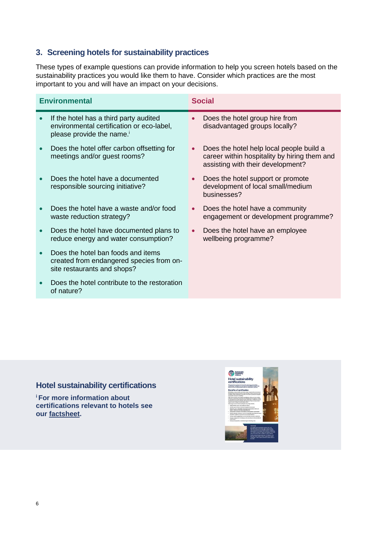## **3. Screening hotels for sustainability practices**

These types of example questions can provide information to help you screen hotels based on the sustainability practices you would like them to have. Consider which practices are the most important to you and will have an impact on your decisions.

| <b>Environmental</b> |                                                                                                                              | <b>Social</b> |                                                                                                                               |
|----------------------|------------------------------------------------------------------------------------------------------------------------------|---------------|-------------------------------------------------------------------------------------------------------------------------------|
| $\bullet$            | If the hotel has a third party audited<br>environmental certification or eco-label,<br>please provide the name. <sup>1</sup> | $\bullet$     | Does the hotel group hire from<br>disadvantaged groups locally?                                                               |
| $\bullet$            | Does the hotel offer carbon offsetting for<br>meetings and/or guest rooms?                                                   | $\bullet$     | Does the hotel help local people build a<br>career within hospitality by hiring them and<br>assisting with their development? |
|                      | Does the hotel have a documented<br>responsible sourcing initiative?                                                         | $\bullet$     | Does the hotel support or promote<br>development of local small/medium<br>businesses?                                         |
|                      | Does the hotel have a waste and/or food<br>waste reduction strategy?                                                         | $\bullet$     | Does the hotel have a community<br>engagement or development programme?                                                       |
| $\bullet$            | Does the hotel have documented plans to<br>reduce energy and water consumption?                                              | $\bullet$     | Does the hotel have an employee<br>wellbeing programme?                                                                       |
| $\bullet$            | Does the hotel ban foods and items<br>created from endangered species from on-<br>site restaurants and shops?                |               |                                                                                                                               |
|                      | Does the hotel contribute to the restoration<br>of nature?                                                                   |               |                                                                                                                               |

## **Hotel sustainability certifications**

**<sup>i</sup>For more information about certifications relevant to hotels see our [factsheet.](https://sustainablehospitalityalliance.org/resource/hotel-sustainability-certifications-factsheet/)**